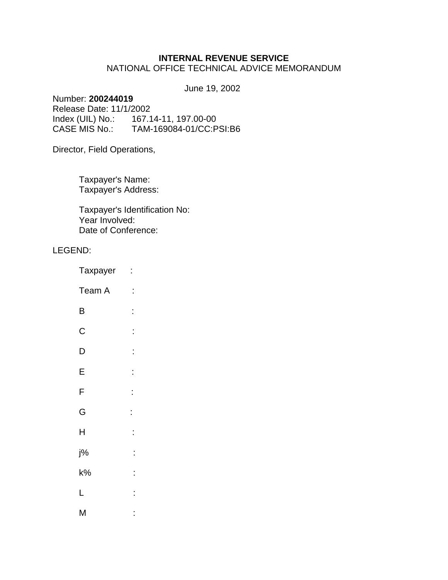# **INTERNAL REVENUE SERVICE**

# NATIONAL OFFICE TECHNICAL ADVICE MEMORANDUM

June 19, 2002

# Number: **200244019**

Release Date: 11/1/2002 Index (UIL) No.: 167.14-11, 197.00-00 CASE MIS No.: TAM-169084-01/CC:PSI:B6

Director, Field Operations,

Taxpayer's Name: Taxpayer's Address:

Taxpayer's Identification No: Year Involved: Date of Conference:

## LEGEND:

| Taxpayer    | $\ddot{\phantom{0}}$ |
|-------------|----------------------|
| Team A      | $\ddot{\cdot}$       |
| B           | $\vdots$             |
| $\mathsf C$ | Ì                    |
| D           | Ì                    |
| E           | Ì                    |
| F           | İ                    |
| G           | Ì                    |
| H           | Ì                    |
| j%          | Ì                    |
| $k\%$       | Ì                    |
| L           | $\ddot{\phantom{0}}$ |
| M           | $\ddot{\cdot}$       |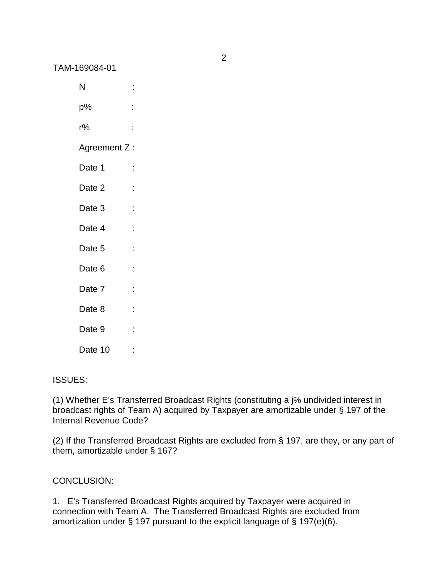| N            | İ                    |
|--------------|----------------------|
| p%           | İ                    |
| r%           | İ                    |
| Agreement Z: |                      |
| Date 1       | İ                    |
| Date 2       | $\ddot{\phantom{0}}$ |
| Date 3       | İ                    |
| Date 4       | İ                    |
| Date 5       | İ                    |
| Date 6       | İ                    |
| Date 7       | İ                    |
| Date 8       | $\ddot{\phantom{0}}$ |
| Date 9       | İ                    |
| Date 10      |                      |

## ISSUES:

(1) Whether E's Transferred Broadcast Rights (constituting a j% undivided interest in broadcast rights of Team A) acquired by Taxpayer are amortizable under § 197 of the Internal Revenue Code?

(2) If the Transferred Broadcast Rights are excluded from § 197, are they, or any part of them, amortizable under § 167?

# CONCLUSION:

1. E's Transferred Broadcast Rights acquired by Taxpayer were acquired in connection with Team A. The Transferred Broadcast Rights are excluded from amortization under § 197 pursuant to the explicit language of § 197(e)(6).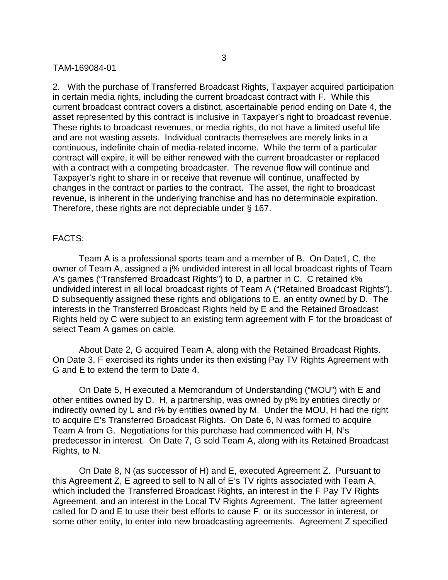2. With the purchase of Transferred Broadcast Rights, Taxpayer acquired participation in certain media rights, including the current broadcast contract with F. While this current broadcast contract covers a distinct, ascertainable period ending on Date 4, the asset represented by this contract is inclusive in Taxpayer's right to broadcast revenue. These rights to broadcast revenues, or media rights, do not have a limited useful life and are not wasting assets. Individual contracts themselves are merely links in a continuous, indefinite chain of media-related income. While the term of a particular contract will expire, it will be either renewed with the current broadcaster or replaced with a contract with a competing broadcaster. The revenue flow will continue and Taxpayer's right to share in or receive that revenue will continue, unaffected by changes in the contract or parties to the contract. The asset, the right to broadcast revenue, is inherent in the underlying franchise and has no determinable expiration. Therefore, these rights are not depreciable under § 167.

### FACTS:

Team A is a professional sports team and a member of B. On Date1, C, the owner of Team A, assigned a j% undivided interest in all local broadcast rights of Team A's games ("Transferred Broadcast Rights") to D, a partner in C. C retained k% undivided interest in all local broadcast rights of Team A ("Retained Broadcast Rights"). D subsequently assigned these rights and obligations to E, an entity owned by D. The interests in the Transferred Broadcast Rights held by E and the Retained Broadcast Rights held by C were subject to an existing term agreement with F for the broadcast of select Team A games on cable.

About Date 2, G acquired Team A, along with the Retained Broadcast Rights. On Date 3, F exercised its rights under its then existing Pay TV Rights Agreement with G and E to extend the term to Date 4.

On Date 5, H executed a Memorandum of Understanding ("MOU") with E and other entities owned by D. H, a partnership, was owned by p% by entities directly or indirectly owned by L and r% by entities owned by M. Under the MOU, H had the right to acquire E's Transferred Broadcast Rights. On Date 6, N was formed to acquire Team A from G. Negotiations for this purchase had commenced with H, N's predecessor in interest. On Date 7, G sold Team A, along with its Retained Broadcast Rights, to N.

On Date 8, N (as successor of H) and E, executed Agreement Z. Pursuant to this Agreement Z, E agreed to sell to N all of E's TV rights associated with Team A, which included the Transferred Broadcast Rights, an interest in the F Pay TV Rights Agreement, and an interest in the Local TV Rights Agreement. The latter agreement called for D and E to use their best efforts to cause F, or its successor in interest, or some other entity, to enter into new broadcasting agreements. Agreement Z specified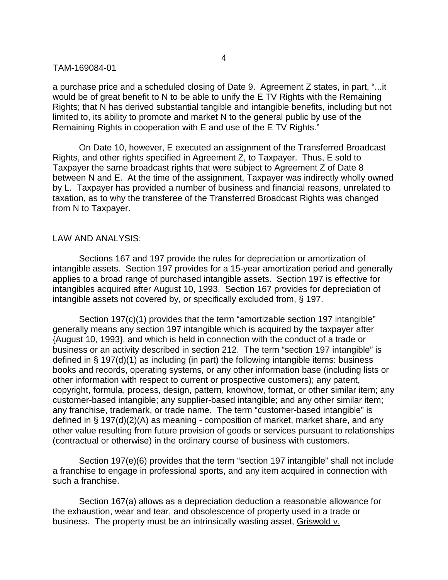a purchase price and a scheduled closing of Date 9. Agreement Z states, in part, "...it would be of great benefit to N to be able to unify the E TV Rights with the Remaining Rights; that N has derived substantial tangible and intangible benefits, including but not limited to, its ability to promote and market N to the general public by use of the Remaining Rights in cooperation with E and use of the E TV Rights."

On Date 10, however, E executed an assignment of the Transferred Broadcast Rights, and other rights specified in Agreement Z, to Taxpayer. Thus, E sold to Taxpayer the same broadcast rights that were subject to Agreement Z of Date 8 between N and E. At the time of the assignment, Taxpayer was indirectly wholly owned by L. Taxpayer has provided a number of business and financial reasons, unrelated to taxation, as to why the transferee of the Transferred Broadcast Rights was changed from N to Taxpayer.

## LAW AND ANALYSIS:

Sections 167 and 197 provide the rules for depreciation or amortization of intangible assets. Section 197 provides for a 15-year amortization period and generally applies to a broad range of purchased intangible assets. Section 197 is effective for intangibles acquired after August 10, 1993. Section 167 provides for depreciation of intangible assets not covered by, or specifically excluded from, § 197.

Section 197(c)(1) provides that the term "amortizable section 197 intangible" generally means any section 197 intangible which is acquired by the taxpayer after {August 10, 1993}, and which is held in connection with the conduct of a trade or business or an activity described in section 212. The term "section 197 intangible" is defined in  $\S$  197(d)(1) as including (in part) the following intangible items: business books and records, operating systems, or any other information base (including lists or other information with respect to current or prospective customers); any patent, copyright, formula, process, design, pattern, knowhow, format, or other similar item; any customer-based intangible; any supplier-based intangible; and any other similar item; any franchise, trademark, or trade name. The term "customer-based intangible" is defined in § 197(d)(2)(A) as meaning - composition of market, market share, and any other value resulting from future provision of goods or services pursuant to relationships (contractual or otherwise) in the ordinary course of business with customers.

Section 197(e)(6) provides that the term "section 197 intangible" shall not include a franchise to engage in professional sports, and any item acquired in connection with such a franchise.

Section 167(a) allows as a depreciation deduction a reasonable allowance for the exhaustion, wear and tear, and obsolescence of property used in a trade or business. The property must be an intrinsically wasting asset, Griswold v.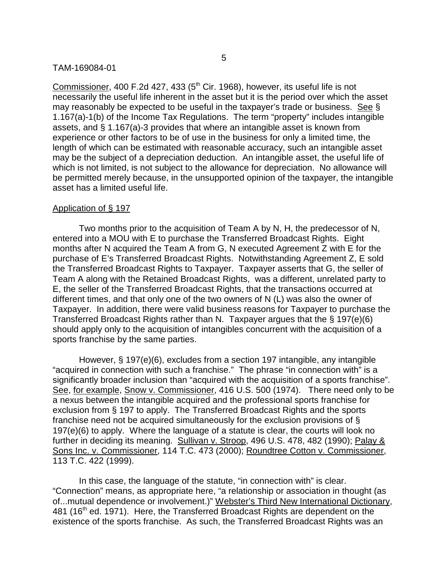Commissioner, 400 F.2d 427, 433 (5<sup>th</sup> Cir. 1968), however, its useful life is not necessarily the useful life inherent in the asset but it is the period over which the asset may reasonably be expected to be useful in the taxpayer's trade or business. See § 1.167(a)-1(b) of the Income Tax Regulations. The term "property" includes intangible assets, and § 1.167(a)-3 provides that where an intangible asset is known from experience or other factors to be of use in the business for only a limited time, the length of which can be estimated with reasonable accuracy, such an intangible asset may be the subject of a depreciation deduction. An intangible asset, the useful life of which is not limited, is not subject to the allowance for depreciation. No allowance will be permitted merely because, in the unsupported opinion of the taxpayer, the intangible asset has a limited useful life.

## Application of § 197

Two months prior to the acquisition of Team A by N, H, the predecessor of N, entered into a MOU with E to purchase the Transferred Broadcast Rights. Eight months after N acquired the Team A from G, N executed Agreement Z with E for the purchase of E's Transferred Broadcast Rights. Notwithstanding Agreement Z, E sold the Transferred Broadcast Rights to Taxpayer. Taxpayer asserts that G, the seller of Team A along with the Retained Broadcast Rights, was a different, unrelated party to E, the seller of the Transferred Broadcast Rights, that the transactions occurred at different times, and that only one of the two owners of N (L) was also the owner of Taxpayer. In addition, there were valid business reasons for Taxpayer to purchase the Transferred Broadcast Rights rather than N. Taxpayer argues that the § 197(e)(6) should apply only to the acquisition of intangibles concurrent with the acquisition of a sports franchise by the same parties.

However, § 197(e)(6), excludes from a section 197 intangible, any intangible "acquired in connection with such a franchise." The phrase "in connection with" is a significantly broader inclusion than "acquired with the acquisition of a sports franchise". See, for example, Snow v. Commissioner, 416 U.S. 500 (1974). There need only to be a nexus between the intangible acquired and the professional sports franchise for exclusion from § 197 to apply. The Transferred Broadcast Rights and the sports franchise need not be acquired simultaneously for the exclusion provisions of § 197(e)(6) to apply. Where the language of a statute is clear, the courts will look no further in deciding its meaning. Sullivan v. Stroop, 496 U.S. 478, 482 (1990); Palay & Sons Inc. v. Commissioner, 114 T.C. 473 (2000); Roundtree Cotton v. Commissioner, 113 T.C. 422 (1999).

In this case, the language of the statute, "in connection with" is clear. "Connection" means, as appropriate here, "a relationship or association in thought (as of...mutual dependence or involvement.)" Webster's Third New International Dictionary, 481 (16<sup>th</sup> ed. 1971). Here, the Transferred Broadcast Rights are dependent on the existence of the sports franchise. As such, the Transferred Broadcast Rights was an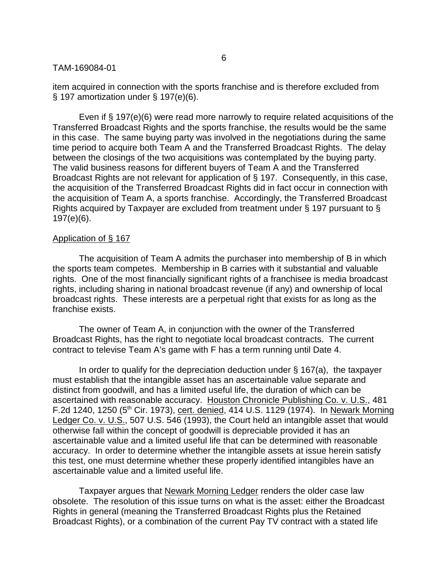item acquired in connection with the sports franchise and is therefore excluded from § 197 amortization under § 197(e)(6).

Even if § 197(e)(6) were read more narrowly to require related acquisitions of the Transferred Broadcast Rights and the sports franchise, the results would be the same in this case. The same buying party was involved in the negotiations during the same time period to acquire both Team A and the Transferred Broadcast Rights. The delay between the closings of the two acquisitions was contemplated by the buying party. The valid business reasons for different buyers of Team A and the Transferred Broadcast Rights are not relevant for application of § 197. Consequently, in this case, the acquisition of the Transferred Broadcast Rights did in fact occur in connection with the acquisition of Team A, a sports franchise. Accordingly, the Transferred Broadcast Rights acquired by Taxpayer are excluded from treatment under § 197 pursuant to § 197(e)(6).

### Application of § 167

The acquisition of Team A admits the purchaser into membership of B in which the sports team competes. Membership in B carries with it substantial and valuable rights. One of the most financially significant rights of a franchisee is media broadcast rights, including sharing in national broadcast revenue (if any) and ownership of local broadcast rights. These interests are a perpetual right that exists for as long as the franchise exists.

The owner of Team A, in conjunction with the owner of the Transferred Broadcast Rights, has the right to negotiate local broadcast contracts. The current contract to televise Team A's game with F has a term running until Date 4.

In order to qualify for the depreciation deduction under § 167(a), the taxpayer must establish that the intangible asset has an ascertainable value separate and distinct from goodwill, and has a limited useful life, the duration of which can be ascertained with reasonable accuracy. Houston Chronicle Publishing Co. v. U.S., 481 F.2d 1240, 1250 (5<sup>th</sup> Cir. 1973), cert. denied, 414 U.S. 1129 (1974). In Newark Morning Ledger Co. v. U.S., 507 U.S. 546 (1993), the Court held an intangible asset that would otherwise fall within the concept of goodwill is depreciable provided it has an ascertainable value and a limited useful life that can be determined with reasonable accuracy. In order to determine whether the intangible assets at issue herein satisfy this test, one must determine whether these properly identified intangibles have an ascertainable value and a limited useful life.

Taxpayer argues that Newark Morning Ledger renders the older case law obsolete. The resolution of this issue turns on what is the asset: either the Broadcast Rights in general (meaning the Transferred Broadcast Rights plus the Retained Broadcast Rights), or a combination of the current Pay TV contract with a stated life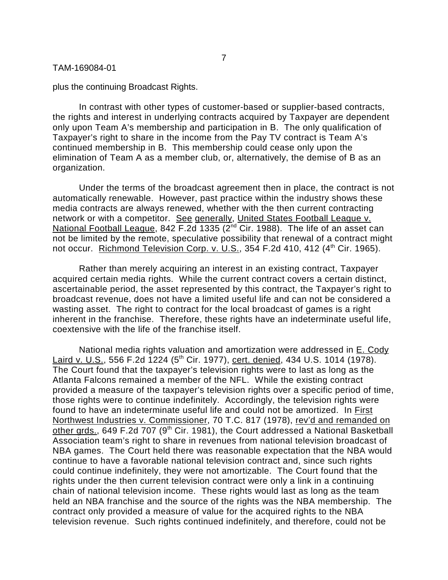plus the continuing Broadcast Rights.

In contrast with other types of customer-based or supplier-based contracts, the rights and interest in underlying contracts acquired by Taxpayer are dependent only upon Team A's membership and participation in B. The only qualification of Taxpayer's right to share in the income from the Pay TV contract is Team A's continued membership in B. This membership could cease only upon the elimination of Team A as a member club, or, alternatively, the demise of B as an organization.

Under the terms of the broadcast agreement then in place, the contract is not automatically renewable. However, past practice within the industry shows these media contracts are always renewed, whether with the then current contracting network or with a competitor. See generally, United States Football League v. National Football League, 842 F.2d 1335 (2<sup>nd</sup> Cir. 1988). The life of an asset can not be limited by the remote, speculative possibility that renewal of a contract might not occur. Richmond Television Corp. v. U.S., 354 F.2d 410, 412 (4<sup>th</sup> Cir. 1965).

Rather than merely acquiring an interest in an existing contract, Taxpayer acquired certain media rights. While the current contract covers a certain distinct, ascertainable period, the asset represented by this contract, the Taxpayer's right to broadcast revenue, does not have a limited useful life and can not be considered a wasting asset. The right to contract for the local broadcast of games is a right inherent in the franchise. Therefore, these rights have an indeterminate useful life, coextensive with the life of the franchise itself.

National media rights valuation and amortization were addressed in E. Cody Laird v. U.S., 556 F.2d 1224 (5<sup>th</sup> Cir. 1977), cert. denied, 434 U.S. 1014 (1978). The Court found that the taxpayer's television rights were to last as long as the Atlanta Falcons remained a member of the NFL. While the existing contract provided a measure of the taxpayer's television rights over a specific period of time, those rights were to continue indefinitely. Accordingly, the television rights were found to have an indeterminate useful life and could not be amortized. In First Northwest Industries v. Commissioner, 70 T.C. 817 (1978), rev'd and remanded on other grds., 649 F.2d 707 (9<sup>th</sup> Cir. 1981), the Court addressed a National Basketball Association team's right to share in revenues from national television broadcast of NBA games. The Court held there was reasonable expectation that the NBA would continue to have a favorable national television contract and, since such rights could continue indefinitely, they were not amortizable. The Court found that the rights under the then current television contract were only a link in a continuing chain of national television income. These rights would last as long as the team held an NBA franchise and the source of the rights was the NBA membership. The contract only provided a measure of value for the acquired rights to the NBA television revenue. Such rights continued indefinitely, and therefore, could not be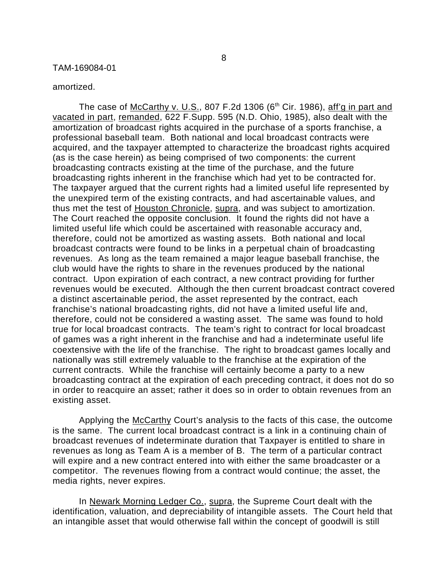#### amortized.

The case of McCarthy v. U.S., 807 F.2d 1306 ( $6<sup>th</sup>$  Cir. 1986), aff'g in part and vacated in part, remanded, 622 F.Supp. 595 (N.D. Ohio, 1985), also dealt with the amortization of broadcast rights acquired in the purchase of a sports franchise, a professional baseball team. Both national and local broadcast contracts were acquired, and the taxpayer attempted to characterize the broadcast rights acquired (as is the case herein) as being comprised of two components: the current broadcasting contracts existing at the time of the purchase, and the future broadcasting rights inherent in the franchise which had yet to be contracted for. The taxpayer argued that the current rights had a limited useful life represented by the unexpired term of the existing contracts, and had ascertainable values, and thus met the test of Houston Chronicle, supra, and was subject to amortization. The Court reached the opposite conclusion. It found the rights did not have a limited useful life which could be ascertained with reasonable accuracy and, therefore, could not be amortized as wasting assets. Both national and local broadcast contracts were found to be links in a perpetual chain of broadcasting revenues. As long as the team remained a major league baseball franchise, the club would have the rights to share in the revenues produced by the national contract. Upon expiration of each contract, a new contract providing for further revenues would be executed. Although the then current broadcast contract covered a distinct ascertainable period, the asset represented by the contract, each franchise's national broadcasting rights, did not have a limited useful life and, therefore, could not be considered a wasting asset. The same was found to hold true for local broadcast contracts. The team's right to contract for local broadcast of games was a right inherent in the franchise and had a indeterminate useful life coextensive with the life of the franchise. The right to broadcast games locally and nationally was still extremely valuable to the franchise at the expiration of the current contracts. While the franchise will certainly become a party to a new broadcasting contract at the expiration of each preceding contract, it does not do so in order to reacquire an asset; rather it does so in order to obtain revenues from an existing asset.

Applying the McCarthy Court's analysis to the facts of this case, the outcome is the same. The current local broadcast contract is a link in a continuing chain of broadcast revenues of indeterminate duration that Taxpayer is entitled to share in revenues as long as Team A is a member of B. The term of a particular contract will expire and a new contract entered into with either the same broadcaster or a competitor. The revenues flowing from a contract would continue; the asset, the media rights, never expires.

In Newark Morning Ledger Co., supra, the Supreme Court dealt with the identification, valuation, and depreciability of intangible assets. The Court held that an intangible asset that would otherwise fall within the concept of goodwill is still